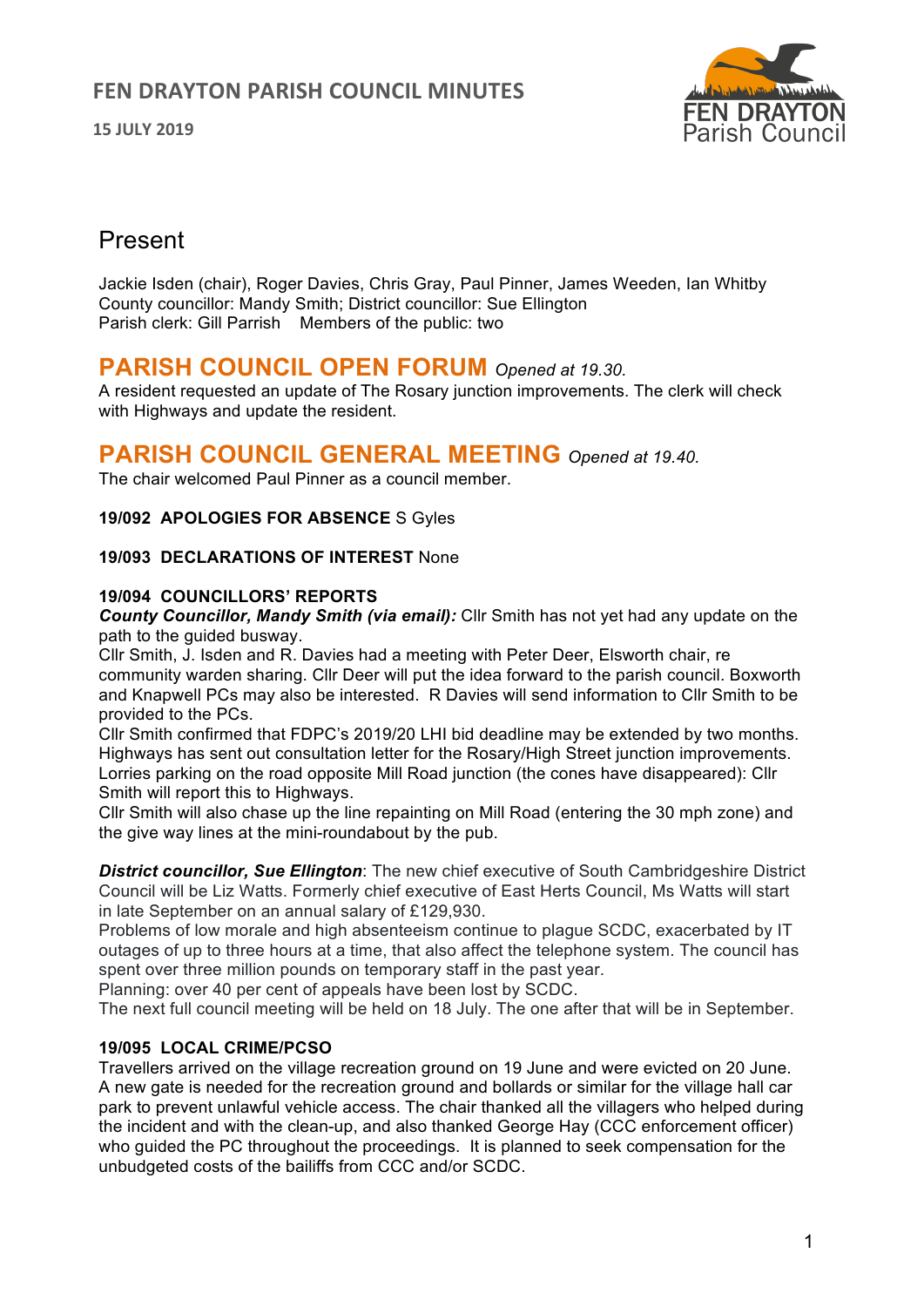**15 JULY 2019**



# Present

Jackie Isden (chair), Roger Davies, Chris Gray, Paul Pinner, James Weeden, Ian Whitby County councillor: Mandy Smith; District councillor: Sue Ellington Parish clerk: Gill Parrish Members of the public: two

# **PARISH COUNCIL OPEN FORUM** *Opened at 19.30.*

A resident requested an update of The Rosary junction improvements. The clerk will check with Highways and update the resident.

# **PARISH COUNCIL GENERAL MEETING** *Opened at 19.40.*

The chair welcomed Paul Pinner as a council member.

### **19/092 APOLOGIES FOR ABSENCE** S Gyles

#### **19/093 DECLARATIONS OF INTEREST** None

#### **19/094 COUNCILLORS' REPORTS**

*County Councillor, Mandy Smith (via email):* Cllr Smith has not yet had any update on the path to the guided busway.

Cllr Smith, J. Isden and R. Davies had a meeting with Peter Deer, Elsworth chair, re community warden sharing. Cllr Deer will put the idea forward to the parish council. Boxworth and Knapwell PCs may also be interested. R Davies will send information to Cllr Smith to be provided to the PCs.

Cllr Smith confirmed that FDPC's 2019/20 LHI bid deadline may be extended by two months. Highways has sent out consultation letter for the Rosary/High Street junction improvements. Lorries parking on the road opposite Mill Road junction (the cones have disappeared): Cllr Smith will report this to Highways.

Cllr Smith will also chase up the line repainting on Mill Road (entering the 30 mph zone) and the give way lines at the mini-roundabout by the pub.

*District councillor, Sue Ellington*: The new chief executive of South Cambridgeshire District Council will be Liz Watts. Formerly chief executive of East Herts Council, Ms Watts will start in late September on an annual salary of £129,930.

Problems of low morale and high absenteeism continue to plague SCDC, exacerbated by IT outages of up to three hours at a time, that also affect the telephone system. The council has spent over three million pounds on temporary staff in the past year.

Planning: over 40 per cent of appeals have been lost by SCDC.

The next full council meeting will be held on 18 July. The one after that will be in September.

#### **19/095 LOCAL CRIME/PCSO**

Travellers arrived on the village recreation ground on 19 June and were evicted on 20 June. A new gate is needed for the recreation ground and bollards or similar for the village hall car park to prevent unlawful vehicle access. The chair thanked all the villagers who helped during the incident and with the clean-up, and also thanked George Hay (CCC enforcement officer) who guided the PC throughout the proceedings. It is planned to seek compensation for the unbudgeted costs of the bailiffs from CCC and/or SCDC.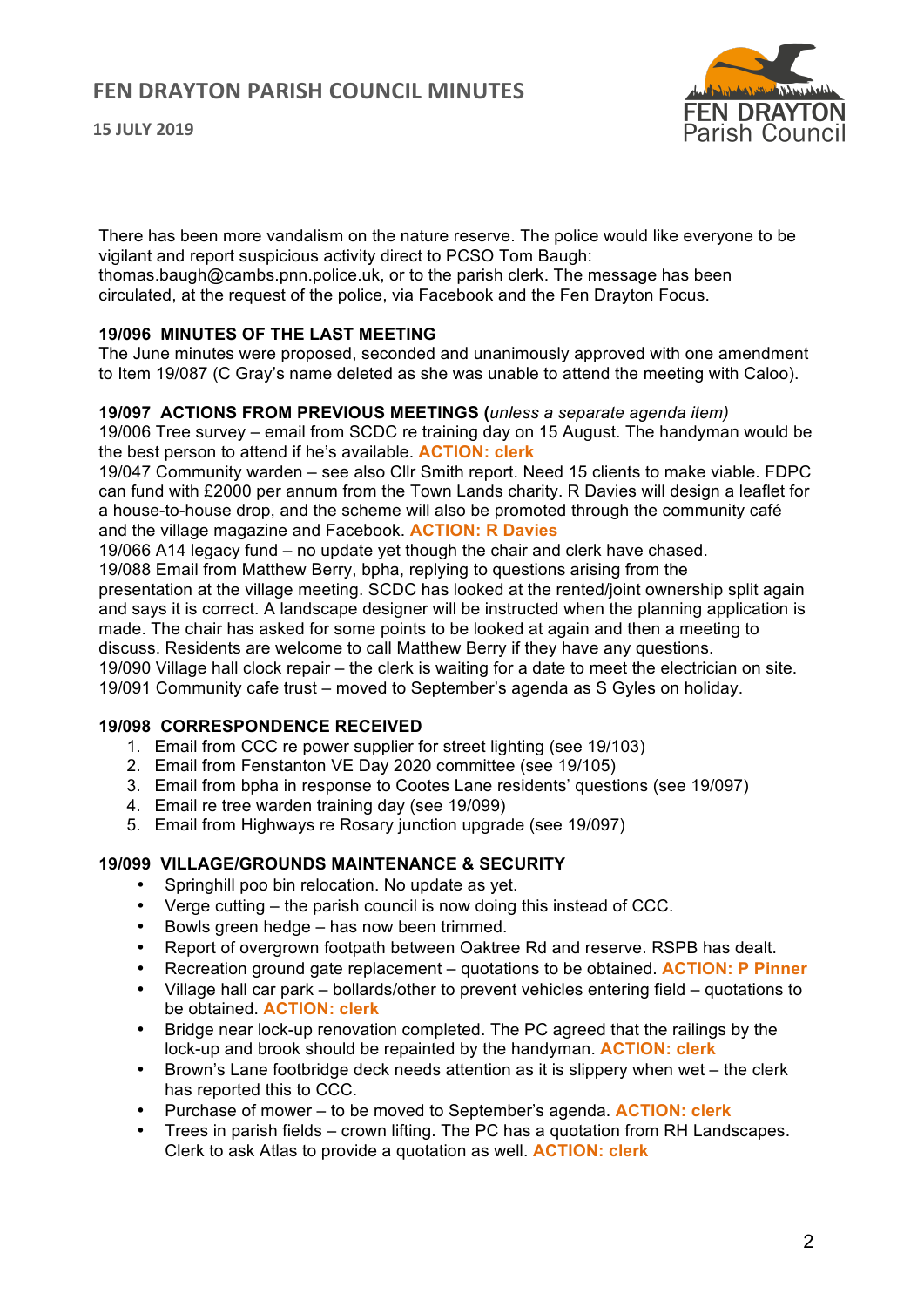

There has been more vandalism on the nature reserve. The police would like everyone to be vigilant and report suspicious activity direct to PCSO Tom Baugh:

thomas.baugh@cambs.pnn.police.uk, or to the parish clerk. The message has been circulated, at the request of the police, via Facebook and the Fen Drayton Focus.

#### **19/096 MINUTES OF THE LAST MEETING**

The June minutes were proposed, seconded and unanimously approved with one amendment to Item 19/087 (C Gray's name deleted as she was unable to attend the meeting with Caloo).

#### **19/097 ACTIONS FROM PREVIOUS MEETINGS (***unless a separate agenda item)*

19/006 Tree survey – email from SCDC re training day on 15 August. The handyman would be the best person to attend if he's available. **ACTION: clerk**

19/047 Community warden – see also Cllr Smith report. Need 15 clients to make viable. FDPC can fund with £2000 per annum from the Town Lands charity. R Davies will design a leaflet for a house-to-house drop, and the scheme will also be promoted through the community café and the village magazine and Facebook. **ACTION: R Davies**

19/066 A14 legacy fund – no update yet though the chair and clerk have chased.

19/088 Email from Matthew Berry, bpha, replying to questions arising from the

presentation at the village meeting. SCDC has looked at the rented/joint ownership split again and says it is correct. A landscape designer will be instructed when the planning application is made. The chair has asked for some points to be looked at again and then a meeting to discuss. Residents are welcome to call Matthew Berry if they have any questions. 19/090 Village hall clock repair – the clerk is waiting for a date to meet the electrician on site. 19/091 Community cafe trust – moved to September's agenda as S Gyles on holiday.

## **19/098 CORRESPONDENCE RECEIVED**

- 1. Email from CCC re power supplier for street lighting (see 19/103)
- 2. Email from Fenstanton VE Day 2020 committee (see 19/105)
- 3. Email from bpha in response to Cootes Lane residents' questions (see 19/097)
- 4. Email re tree warden training day (see 19/099)
- 5. Email from Highways re Rosary junction upgrade (see 19/097)

#### **19/099 VILLAGE/GROUNDS MAINTENANCE & SECURITY**

- Springhill poo bin relocation. No update as yet.
- Verge cutting the parish council is now doing this instead of CCC.
- Bowls green hedge has now been trimmed.
- Report of overgrown footpath between Oaktree Rd and reserve. RSPB has dealt.
- Recreation ground gate replacement quotations to be obtained. **ACTION: P Pinner**
- Village hall car park bollards/other to prevent vehicles entering field quotations to be obtained. **ACTION: clerk**
- Bridge near lock-up renovation completed. The PC agreed that the railings by the lock-up and brook should be repainted by the handyman. **ACTION: clerk**
- Brown's Lane footbridge deck needs attention as it is slippery when wet the clerk has reported this to CCC.
- Purchase of mower to be moved to September's agenda. **ACTION: clerk**
- Trees in parish fields crown lifting. The PC has a quotation from RH Landscapes. Clerk to ask Atlas to provide a quotation as well. **ACTION: clerk**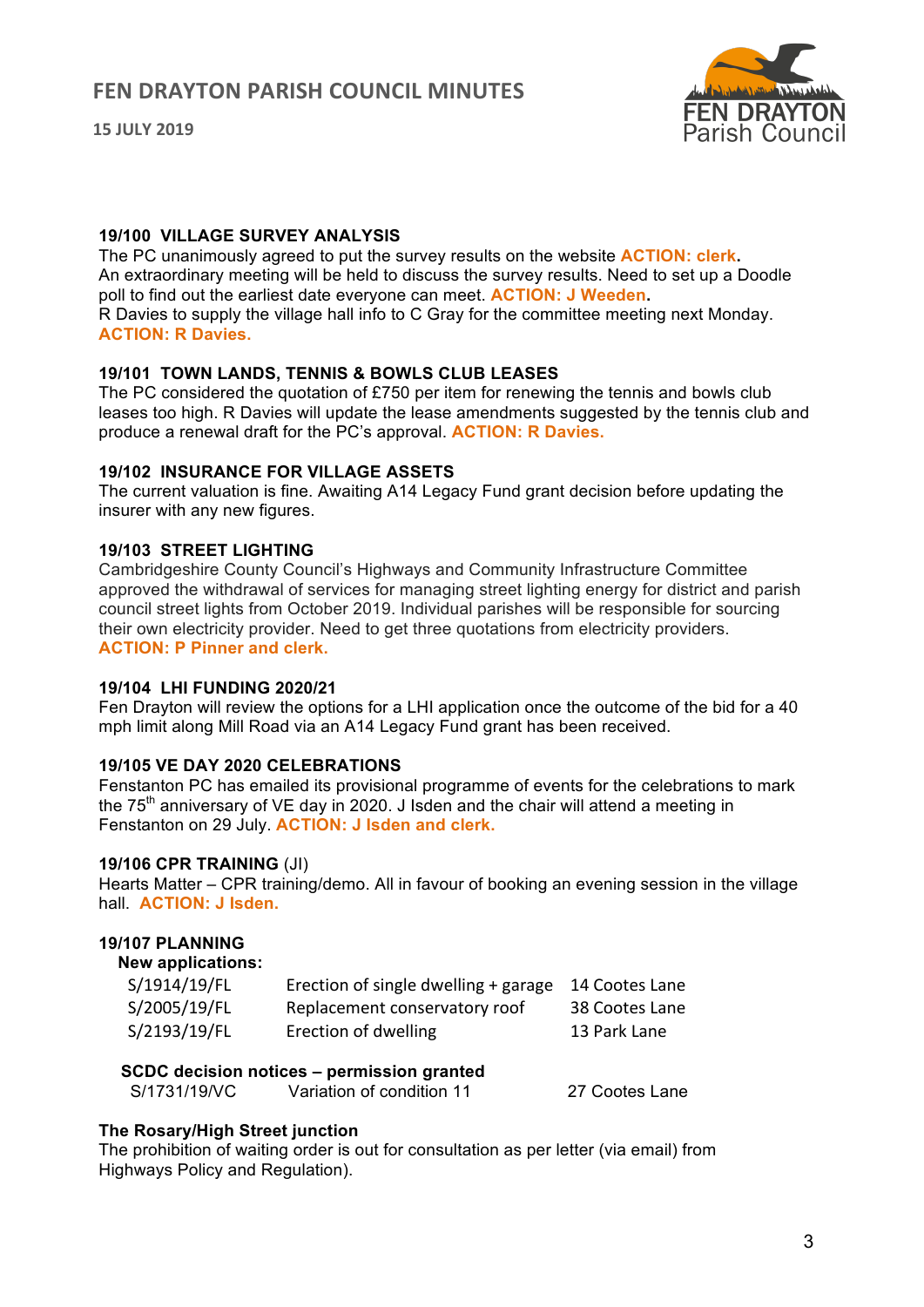**15 JULY 2019**



#### **19/100 VILLAGE SURVEY ANALYSIS**

The PC unanimously agreed to put the survey results on the website **ACTION: clerk.** An extraordinary meeting will be held to discuss the survey results. Need to set up a Doodle poll to find out the earliest date everyone can meet. **ACTION: J Weeden.** R Davies to supply the village hall info to C Gray for the committee meeting next Monday. **ACTION: R Davies.**

### **19/101 TOWN LANDS, TENNIS & BOWLS CLUB LEASES**

The PC considered the quotation of £750 per item for renewing the tennis and bowls club leases too high. R Davies will update the lease amendments suggested by the tennis club and produce a renewal draft for the PC's approval. **ACTION: R Davies.**

#### **19/102 INSURANCE FOR VILLAGE ASSETS**

The current valuation is fine. Awaiting A14 Legacy Fund grant decision before updating the insurer with any new figures.

### **19/103 STREET LIGHTING**

Cambridgeshire County Council's Highways and Community Infrastructure Committee approved the withdrawal of services for managing street lighting energy for district and parish council street lights from October 2019. Individual parishes will be responsible for sourcing their own electricity provider. Need to get three quotations from electricity providers. **ACTION: P Pinner and clerk.**

#### **19/104 LHI FUNDING 2020/21**

Fen Drayton will review the options for a LHI application once the outcome of the bid for a 40 mph limit along Mill Road via an A14 Legacy Fund grant has been received.

## **19/105 VE DAY 2020 CELEBRATIONS**

Fenstanton PC has emailed its provisional programme of events for the celebrations to mark the  $75<sup>th</sup>$  anniversary of VE day in 2020. J Isden and the chair will attend a meeting in Fenstanton on 29 July. **ACTION: J Isden and clerk.**

#### **19/106 CPR TRAINING** (JI)

Hearts Matter – CPR training/demo. All in favour of booking an evening session in the village hall. **ACTION: J Isden.**

#### **19/107 PLANNING**

#### **New applications:**

| S/1914/19/FL | Erection of single dwelling + garage | 14 Cootes Lane |
|--------------|--------------------------------------|----------------|
| S/2005/19/FL | Replacement conservatory roof        | 38 Cootes Lane |
| S/2193/19/FL | Erection of dwelling                 | 13 Park Lane   |

## **SCDC decision notices – permission granted**

S/1731/19/VC Variation of condition 11 27 Cootes Lane

## **The Rosary/High Street junction**

The prohibition of waiting order is out for consultation as per letter (via email) from Highways Policy and Regulation).